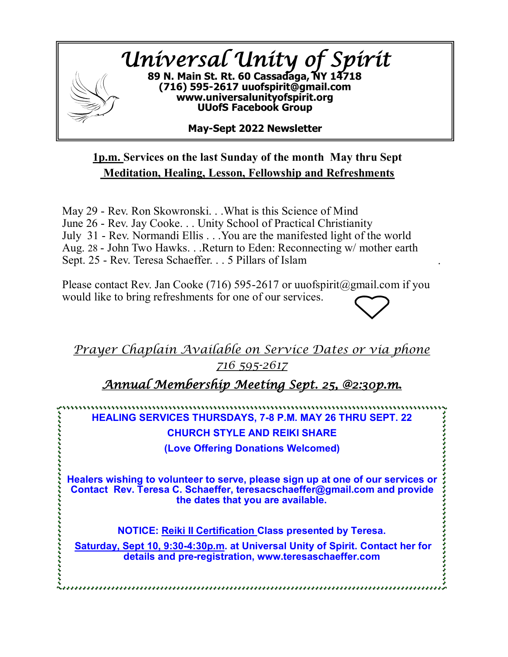

## **1p.m. Services on the last Sunday of the month May thru Sept Meditation, Healing, Lesson, Fellowship and Refreshments**

May 29 - Rev. Ron Skowronski. . .What is this Science of Mind June 26 - Rev. Jay Cooke. . . Unity School of Practical Christianity July 31 - Rev. Normandi Ellis . . .You are the manifested light of the world Aug. 28 - John Two Hawks. . .Return to Eden: Reconnecting w/ mother earth Sept. 25 - Rev. Teresa Schaeffer. . . 5 Pillars of Islam

Please contact Rev. Jan Cooke (716) 595-2617 or uuofspirit@gmail.com if you would like to bring refreshments for one of our services.

.